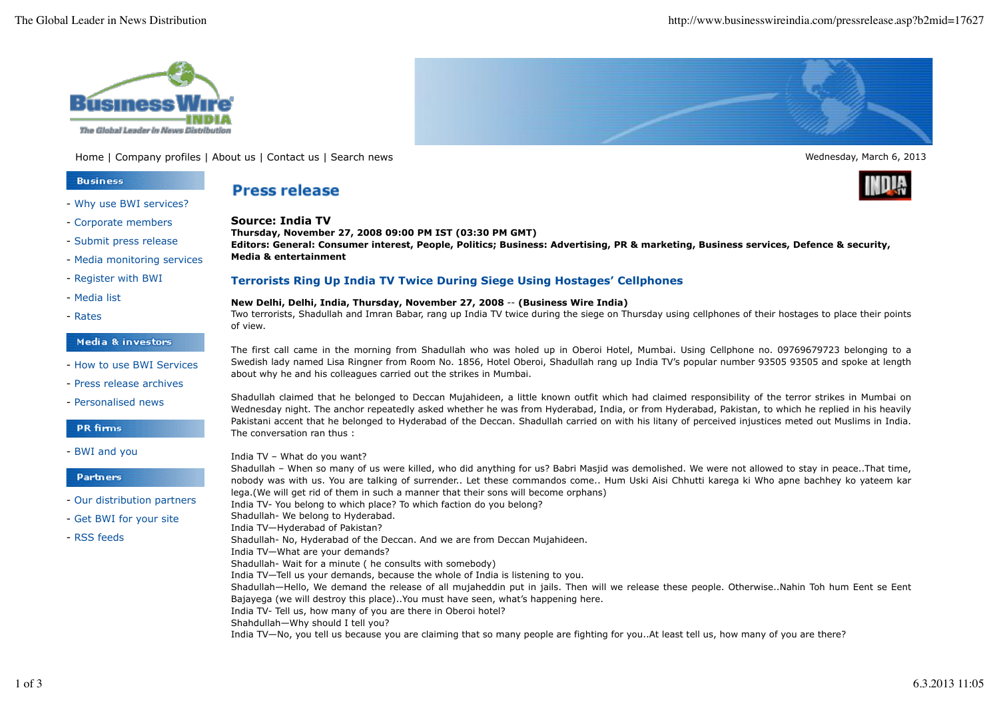

Home | Company profiles | About us | Contact us | Search news Wednesday, March 6, 2013

## **Business**

### - Why use BWI services?

- Corporate members
- Submit press release
- Media monitoring services
- Register with BWI
- Media list
- Rates

## Media & investors

- How to use BWI Services
- Press release archives
- Personalised news

## **PR** firms

- BWI and you

## **Partners**

- Our distribution partners
- Get BWI for your site
- RSS feeds

# **Press release**

**Source: India TV Thursday, November 27, 2008 09:00 PM IST (03:30 PM GMT) Editors: General: Consumer interest, People, Politics; Business: Advertising, PR & marketing, Business services, Defence & security, Media & entertainment**

## **Terrorists Ring Up India TV Twice During Siege Using Hostages' Cellphones**

### **New Delhi, Delhi, India, Thursday, November 27, 2008** -- **(Business Wire India)**

Two terrorists, Shadullah and Imran Babar, rang up India TV twice during the siege on Thursday using cellphones of their hostages to place their points of view.

The first call came in the morning from Shadullah who was holed up in Oberoi Hotel, Mumbai. Using Cellphone no. 09769679723 belonging to a Swedish lady named Lisa Ringner from Room No. 1856, Hotel Oberoi, Shadullah rang up India TV's popular number 93505 93505 and spoke at length about why he and his colleagues carried out the strikes in Mumbai.

Shadullah claimed that he belonged to Deccan Mujahideen, a little known outfit which had claimed responsibility of the terror strikes in Mumbai on Wednesday night. The anchor repeatedly asked whether he was from Hyderabad, India, or from Hyderabad, Pakistan, to which he replied in his heavily Pakistani accent that he belonged to Hyderabad of the Deccan. Shadullah carried on with his litany of perceived injustices meted out Muslims in India. The conversation ran thus :

India TV – What do you want?

Shadullah – When so many of us were killed, who did anything for us? Babri Masjid was demolished. We were not allowed to stay in peace..That time, nobody was with us. You are talking of surrender.. Let these commandos come.. Hum Uski Aisi Chhutti karega ki Who apne bachhey ko yateem kar lega.(We will get rid of them in such a manner that their sons will become orphans)

India TV- You belong to which place? To which faction do you belong?

- Shadullah- We belong to Hyderabad.
- India TV—Hyderabad of Pakistan? Shadullah- No, Hyderabad of the Deccan. And we are from Deccan Mujahideen.
- India TV—What are your demands?
- Shadullah- Wait for a minute ( he consults with somebody)
- India TV—Tell us your demands, because the whole of India is listening to you.

Shadullah—Hello, We demand the release of all mujaheddin put in jails. Then will we release these people. Otherwise..Nahin Toh hum Eent se Eent Bajayega (we will destroy this place)..You must have seen, what's happening here.

- India TV- Tell us, how many of you are there in Oberoi hotel?
- Shahdullah—Why should I tell you?

India TV—No, you tell us because you are claiming that so many people are fighting for you..At least tell us, how many of you are there?



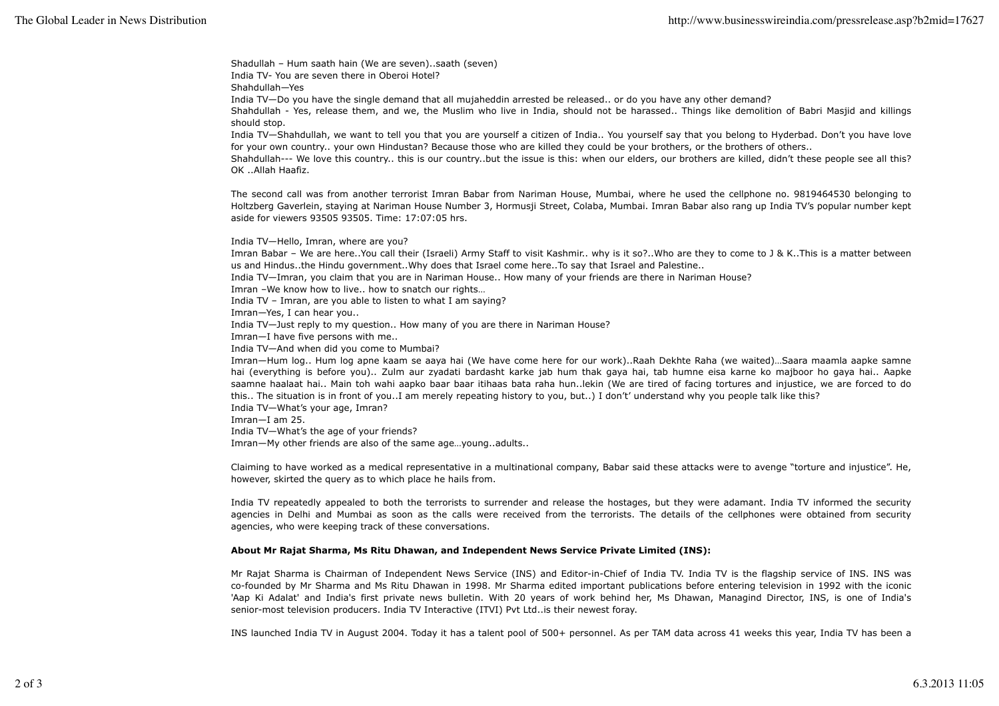Shadullah – Hum saath hain (We are seven)..saath (seven) India TV- You are seven there in Oberoi Hotel?

Shahdullah—Yes

India TV—Do you have the single demand that all mujaheddin arrested be released.. or do you have any other demand?

Shahdullah - Yes, release them, and we, the Muslim who live in India, should not be harassed.. Things like demolition of Babri Masjid and killings should stop.

India TV—Shahdullah, we want to tell you that you are yourself a citizen of India.. You yourself say that you belong to Hyderbad. Don't you have love for your own country.. your own Hindustan? Because those who are killed they could be your brothers, or the brothers of others..

Shahdullah--- We love this country.. this is our country..but the issue is this: when our elders, our brothers are killed, didn't these people see all this? OK ..Allah Haafiz.

The second call was from another terrorist Imran Babar from Nariman House, Mumbai, where he used the cellphone no. 9819464530 belonging to Holtzberg Gaverlein, staying at Nariman House Number 3, Hormusji Street, Colaba, Mumbai. Imran Babar also rang up India TV's popular number kept aside for viewers 93505 93505. Time: 17:07:05 hrs.

India TV—Hello, Imran, where are you?

Imran Babar – We are here..You call their (Israeli) Army Staff to visit Kashmir.. why is it so?..Who are they to come to J & K..This is a matter between us and Hindus..the Hindu government..Why does that Israel come here..To say that Israel and Palestine..

India TV—Imran, you claim that you are in Nariman House.. How many of your friends are there in Nariman House?

Imran –We know how to live.. how to snatch our rights…

India TV – Imran, are you able to listen to what I am saying?

Imran—Yes, I can hear you..

India TV—Just reply to my question.. How many of you are there in Nariman House?

Imran—I have five persons with me..

India TV—And when did you come to Mumbai?

Imran—Hum log.. Hum log apne kaam se aaya hai (We have come here for our work)..Raah Dekhte Raha (we waited)…Saara maamla aapke samne hai (everything is before you).. Zulm aur zyadati bardasht karke jab hum thak gaya hai, tab humne eisa karne ko majboor ho gaya hai.. Aapke saamne haalaat hai.. Main toh wahi aapko baar baar itihaas bata raha hun..lekin (We are tired of facing tortures and injustice, we are forced to do this.. The situation is in front of you..I am merely repeating history to you, but..) I don't' understand why you people talk like this? India TV—What's your age, Imran?

Imran—I am 25.

India TV—What's the age of your friends?

Imran—My other friends are also of the same age…young..adults..

Claiming to have worked as a medical representative in a multinational company, Babar said these attacks were to avenge "torture and injustice". He, however, skirted the query as to which place he hails from.

India TV repeatedly appealed to both the terrorists to surrender and release the hostages, but they were adamant. India TV informed the security agencies in Delhi and Mumbai as soon as the calls were received from the terrorists. The details of the cellphones were obtained from security agencies, who were keeping track of these conversations.

## **About Mr Rajat Sharma, Ms Ritu Dhawan, and Independent News Service Private Limited (INS):**

Mr Rajat Sharma is Chairman of Independent News Service (INS) and Editor-in-Chief of India TV. India TV is the flagship service of INS. INS was co-founded by Mr Sharma and Ms Ritu Dhawan in 1998. Mr Sharma edited important publications before entering television in 1992 with the iconic 'Aap Ki Adalat' and India's first private news bulletin. With 20 years of work behind her, Ms Dhawan, Managind Director, INS, is one of India's senior-most television producers. India TV Interactive (ITVI) Pvt Ltd..is their newest foray.

INS launched India TV in August 2004. Today it has a talent pool of 500+ personnel. As per TAM data across 41 weeks this year, India TV has been a